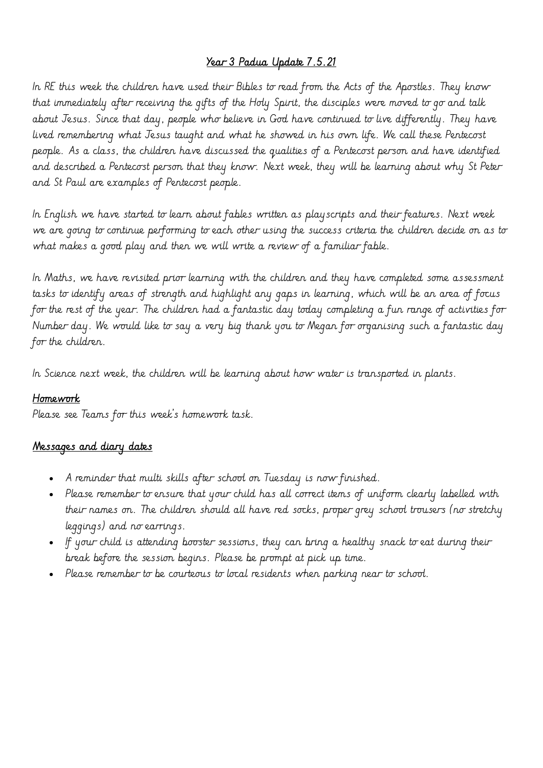#### Year 3 Padua Update 7.5.21

In RE this week the children have used their Bibles to read from the Acts of the Apostles. They know that immediately after receiving the gifts of the Holy Spirit, the disciples were moved to go and talk about Jesus. Since that day, people who believe in God have continued to live differently. They have lived remembering what Jesus taught and what he showed in his own life. We call these Pentecost people. As a class, the children have discussed the qualities of a Pentecost person and have identified and described a Pentecost person that they know. Next week, they will be learning about why St Peter and St Paul are examples of Pentecost people.

In English we have started to learn about fables written as playscripts and their features. Next week we are going to continue performing to each other using the success criteria the children decide on as to what makes a good play and then we will write a review of a familiar fable.

In Maths, we have revisited prior learning with the children and they have completed some assessment tasks to identify areas of strength and highlight any gaps in learning, which will be an area of focus for the rest of the year. The children had a fantastic day today completing a fun range of activities for Number day. We would like to say a very big thank you to Megan for organising such a fantastic day for the children.

In Science next week, the children will be learning about how water is transported in plants.

#### Homework

Please see Teams for this week's homework task.

## Messages and diary dates

- A reminder that multi skills after school on Tuesday is now finished.
- Please remember to ensure that your child has all correct items of uniform clearly labelled with their names on. The children should all have red socks, proper grey school trousers (no stretchy leggings) and no earrings.
- If your child is attending booster sessions, they can bring a healthy snack to eat during their break before the session begins. Please be prompt at pick up time.
- Please remember to be courteous to local residents when parking near to school.